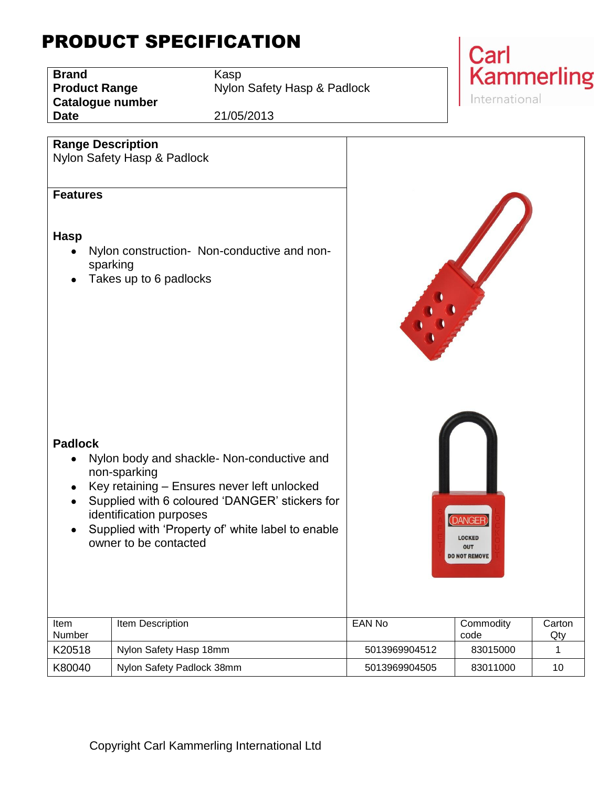## PRODUCT SPECIFICATION

**Brand** Kasp **Catalogue number**

**Product Range** Nylon Safety Hasp & Padlock

**Date** 21/05/2013



| <b>Range Description</b><br><b>Features</b><br><b>Hasp</b><br><b>Padlock</b> | Nylon Safety Hasp & Padlock<br>Nylon construction- Non-conductive and non-<br>sparking<br>Takes up to 6 padlocks<br>Nylon body and shackle- Non-conductive and<br>non-sparking<br>Key retaining - Ensures never left unlocked<br>Supplied with 6 coloured 'DANGER' stickers for<br>identification purposes<br>Supplied with 'Property of' white label to enable<br>owner to be contacted |               | <b>DANGEF</b><br><b>LOCKED</b><br>OUT<br><b>DO NOT REMOVE</b> |               |
|------------------------------------------------------------------------------|------------------------------------------------------------------------------------------------------------------------------------------------------------------------------------------------------------------------------------------------------------------------------------------------------------------------------------------------------------------------------------------|---------------|---------------------------------------------------------------|---------------|
| Item<br>Number                                                               | Item Description                                                                                                                                                                                                                                                                                                                                                                         | <b>EAN No</b> | Commodity<br>code                                             | Carton<br>Qty |
| K20518                                                                       | Nylon Safety Hasp 18mm                                                                                                                                                                                                                                                                                                                                                                   | 5013969904512 | 83015000                                                      | 1             |
| K80040                                                                       | Nylon Safety Padlock 38mm                                                                                                                                                                                                                                                                                                                                                                | 5013969904505 | 83011000                                                      | 10            |